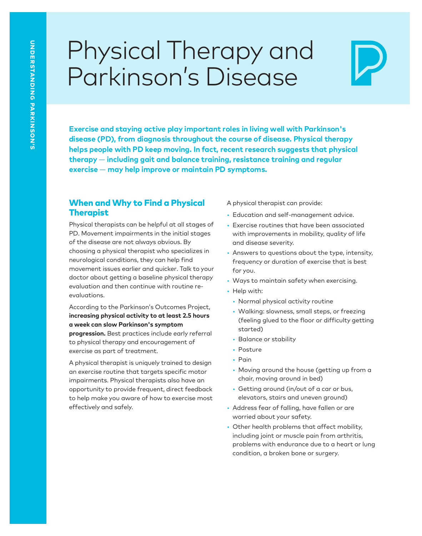# Physical Therapy and Parkinson's Disease

Exercise and staying active play important roles in living well with Parkinson's<br>disease (PD), from diagnosis throughout the course of disease. Physical therapy<br>helps people with PD keep moving. In fact, recent research su **therapy** — **including gait and balance training, resistance training and regular exercise** — **may help improve or maintain PD symptoms.** 

#### When and Why to Find a Physical Therapist

Physical therapists can be helpful at all stages of PD. Movement impairments in the initial stages of the disease are not always obvious. By choosing a physical therapist who specializes in neurological conditions, they can help find movement issues earlier and quicker. Talk to your doctor about getting a baseline physical therapy evaluation and then continue with routine reevaluations.

According to the Parkinson's Outcomes Project, **increasing physical activity to at least 2.5 hours <sup>a</sup> week can slow Parkinson's symptom progression.** Best practices include early referral to physical therapy and encouragement of exercise as part of treatment.

A physical therapist is uniquely trained to design an exercise routine that targets specific motor impairments. Physical therapists also have an opportunity to provide frequent, direct feedback to help make you aware of how to exercise most effectively and safely.

A physical therapist can provide:

- Education and self-management advice.
- Exercise routines that have been associated with improvements in mobility, quality of life and disease severity.
- Answers to questions about the type, intensity, frequency or duration of exercise that is best for you.
- Ways to maintain safety when exercising.
- Help with:
	- Normal physical activity routine
	- Walking: slowness, small steps, or freezing (feeling glued to the floor or difficulty getting started)
	- Balance or stability
	- Posture
- Pain
- Moving around the house (getting up from a chair, moving around in bed)
- Getting around (in/out of a car or bus, elevators, stairs and uneven ground)
- Address fear of falling, have fallen or are worried about your safety.
- Other health problems that affect mobility, including joint or muscle pain from arthritis, problems with endurance due to a heart or lung condition, a broken bone or surgery.